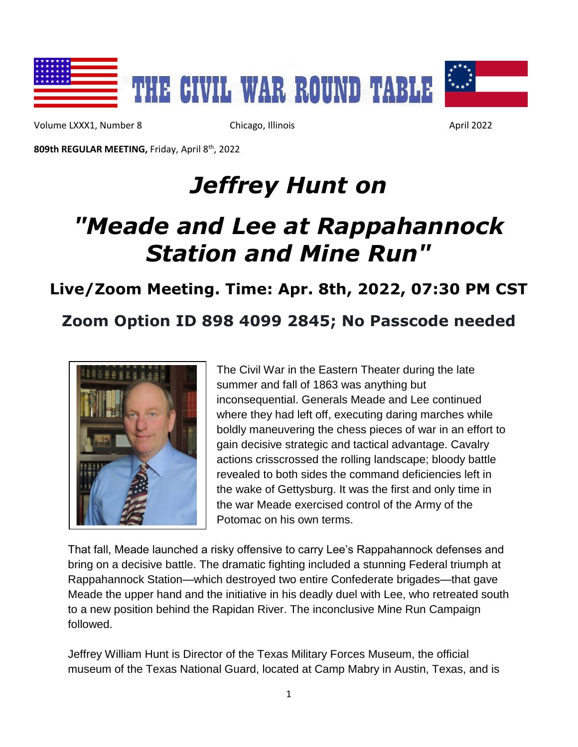

Volume LXXX1, Number 8 Chicago, Illinois Chicago, Illinois April 2022

**809th REGULAR MEETING,** Friday, April 8 th, 2022

# *Jeffrey Hunt on*

# *"Meade and Lee at Rappahannock Station and Mine Run"*

### **Live/Zoom Meeting. Time: Apr. 8th, 2022, 07:30 PM CST**

## **Zoom Option ID 898 4099 2845; No Passcode needed**



The Civil War in the Eastern Theater during the late summer and fall of 1863 was anything but inconsequential. Generals Meade and Lee continued where they had left off, executing daring marches while boldly maneuvering the chess pieces of war in an effort to gain decisive strategic and tactical advantage. Cavalry actions crisscrossed the rolling landscape; bloody battle revealed to both sides the command deficiencies left in the wake of Gettysburg. It was the first and only time in the war Meade exercised control of the Army of the Potomac on his own terms.

That fall, Meade launched a risky offensive to carry Lee's Rappahannock defenses and bring on a decisive battle. The dramatic fighting included a stunning Federal triumph at Rappahannock Station—which destroyed two entire Confederate brigades—that gave Meade the upper hand and the initiative in his deadly duel with Lee, who retreated south to a new position behind the Rapidan River. The inconclusive Mine Run Campaign followed.

Jeffrey William Hunt is Director of the Texas Military Forces Museum, the official museum of the Texas National Guard, located at Camp Mabry in Austin, Texas, and is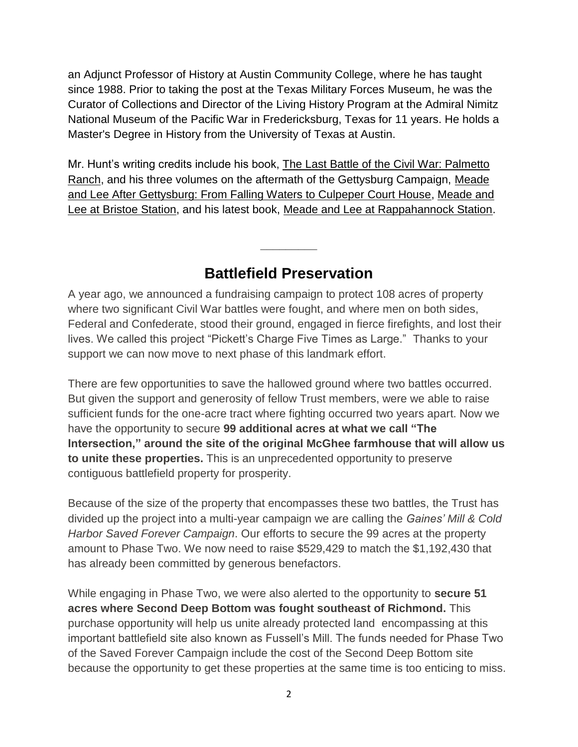an Adjunct Professor of History at Austin Community College, where he has taught since 1988. Prior to taking the post at the Texas Military Forces Museum, he was the Curator of Collections and Director of the Living History Program at the Admiral Nimitz National Museum of the Pacific War in Fredericksburg, Texas for 11 years. He holds a Master's Degree in History from the University of Texas at Austin.

Mr. Hunt's writing credits include his book, The Last Battle of the Civil War: Palmetto Ranch, and his three volumes on the aftermath of the Gettysburg Campaign, Meade and Lee After Gettysburg: From Falling Waters to Culpeper Court House, Meade and Lee at Bristoe Station, and his latest book, Meade and Lee at Rappahannock Station.

### **Battlefield Preservation**

**\_\_\_\_\_\_\_\_\_**

A year ago, we announced a fundraising campaign to protect 108 acres of property where two significant Civil War battles were fought, and where men on both sides, Federal and Confederate, stood their ground, engaged in fierce firefights, and lost their lives. We called this project "Pickett's Charge Five Times as Large." Thanks to your support we can now move to next phase of this landmark effort.

There are few opportunities to save the hallowed ground where two battles occurred. But given the support and generosity of fellow Trust members, were we able to raise sufficient funds for the one-acre tract where fighting occurred two years apart. Now we have the opportunity to secure **99 additional acres at what we call "The Intersection," around the site of the original McGhee farmhouse that will allow us to unite these properties.** This is an unprecedented opportunity to preserve contiguous battlefield property for prosperity.

Because of the size of the property that encompasses these two battles, the Trust has divided up the project into a multi-year campaign we are calling the *Gaines' Mill & Cold Harbor Saved Forever Campaign*. Our efforts to secure the 99 acres at the property amount to Phase Two. We now need to raise \$529,429 to match the \$1,192,430 that has already been committed by generous benefactors.

While engaging in Phase Two, we were also alerted to the opportunity to **secure 51 acres where Second Deep Bottom was fought southeast of Richmond.** This purchase opportunity will help us unite already protected land encompassing at this important battlefield site also known as Fussell's Mill. The funds needed for Phase Two of the Saved Forever Campaign include the cost of the Second Deep Bottom site because the opportunity to get these properties at the same time is too enticing to miss.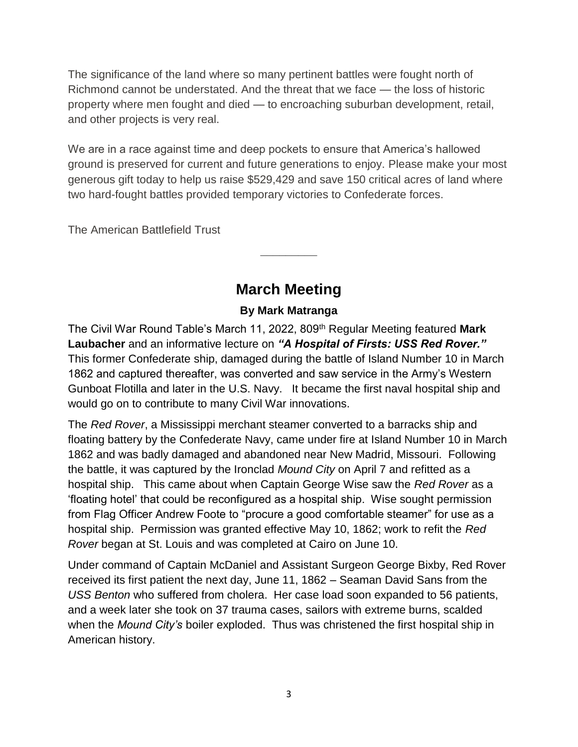The significance of the land where so many pertinent battles were fought north of Richmond cannot be understated. And the threat that we face — the loss of historic property where men fought and died — to encroaching suburban development, retail, and other projects is very real.

We are in a race against time and deep pockets to ensure that America's hallowed ground is preserved for current and future generations to enjoy. Please make your most generous gift today to help us raise \$529,429 and save 150 critical acres of land where two hard-fought battles provided temporary victories to Confederate forces.

The American Battlefield Trust

## **March Meeting**

**\_\_\_\_\_\_\_\_\_**

#### **By Mark Matranga**

The Civil War Round Table's March 11, 2022, 809th Regular Meeting featured **Mark Laubacher** and an informative lecture on *"A Hospital of Firsts: USS Red Rover."*  This former Confederate ship, damaged during the battle of Island Number 10 in March 1862 and captured thereafter, was converted and saw service in the Army's Western Gunboat Flotilla and later in the U.S. Navy. It became the first naval hospital ship and would go on to contribute to many Civil War innovations.

The *Red Rover*, a Mississippi merchant steamer converted to a barracks ship and floating battery by the Confederate Navy, came under fire at Island Number 10 in March 1862 and was badly damaged and abandoned near New Madrid, Missouri. Following the battle, it was captured by the Ironclad *Mound City* on April 7 and refitted as a hospital ship. This came about when Captain George Wise saw the *Red Rover* as a 'floating hotel' that could be reconfigured as a hospital ship. Wise sought permission from Flag Officer Andrew Foote to "procure a good comfortable steamer" for use as a hospital ship. Permission was granted effective May 10, 1862; work to refit the *Red Rover* began at St. Louis and was completed at Cairo on June 10.

Under command of Captain McDaniel and Assistant Surgeon George Bixby, Red Rover received its first patient the next day, June 11, 1862 – Seaman David Sans from the *USS Benton* who suffered from cholera. Her case load soon expanded to 56 patients, and a week later she took on 37 trauma cases, sailors with extreme burns, scalded when the *Mound City's* boiler exploded. Thus was christened the first hospital ship in American history.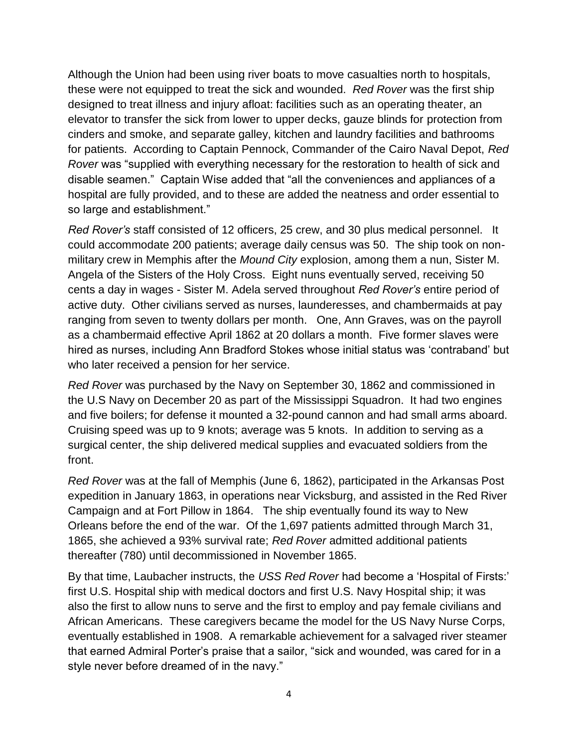Although the Union had been using river boats to move casualties north to hospitals, these were not equipped to treat the sick and wounded. *Red Rover* was the first ship designed to treat illness and injury afloat: facilities such as an operating theater, an elevator to transfer the sick from lower to upper decks, gauze blinds for protection from cinders and smoke, and separate galley, kitchen and laundry facilities and bathrooms for patients. According to Captain Pennock, Commander of the Cairo Naval Depot, *Red Rover* was "supplied with everything necessary for the restoration to health of sick and disable seamen." Captain Wise added that "all the conveniences and appliances of a hospital are fully provided, and to these are added the neatness and order essential to so large and establishment."

*Red Rover's* staff consisted of 12 officers, 25 crew, and 30 plus medical personnel. It could accommodate 200 patients; average daily census was 50. The ship took on nonmilitary crew in Memphis after the *Mound City* explosion, among them a nun, Sister M. Angela of the Sisters of the Holy Cross. Eight nuns eventually served, receiving 50 cents a day in wages - Sister M. Adela served throughout *Red Rover's* entire period of active duty. Other civilians served as nurses, launderesses, and chambermaids at pay ranging from seven to twenty dollars per month. One, Ann Graves, was on the payroll as a chambermaid effective April 1862 at 20 dollars a month. Five former slaves were hired as nurses, including Ann Bradford Stokes whose initial status was 'contraband' but who later received a pension for her service.

*Red Rover* was purchased by the Navy on September 30, 1862 and commissioned in the U.S Navy on December 20 as part of the Mississippi Squadron. It had two engines and five boilers; for defense it mounted a 32-pound cannon and had small arms aboard. Cruising speed was up to 9 knots; average was 5 knots. In addition to serving as a surgical center, the ship delivered medical supplies and evacuated soldiers from the front.

*Red Rover* was at the fall of Memphis (June 6, 1862), participated in the Arkansas Post expedition in January 1863, in operations near Vicksburg, and assisted in the Red River Campaign and at Fort Pillow in 1864. The ship eventually found its way to New Orleans before the end of the war. Of the 1,697 patients admitted through March 31, 1865, she achieved a 93% survival rate; *Red Rover* admitted additional patients thereafter (780) until decommissioned in November 1865.

By that time, Laubacher instructs, the *USS Red Rover* had become a 'Hospital of Firsts:' first U.S. Hospital ship with medical doctors and first U.S. Navy Hospital ship; it was also the first to allow nuns to serve and the first to employ and pay female civilians and African Americans. These caregivers became the model for the US Navy Nurse Corps, eventually established in 1908. A remarkable achievement for a salvaged river steamer that earned Admiral Porter's praise that a sailor, "sick and wounded, was cared for in a style never before dreamed of in the navy."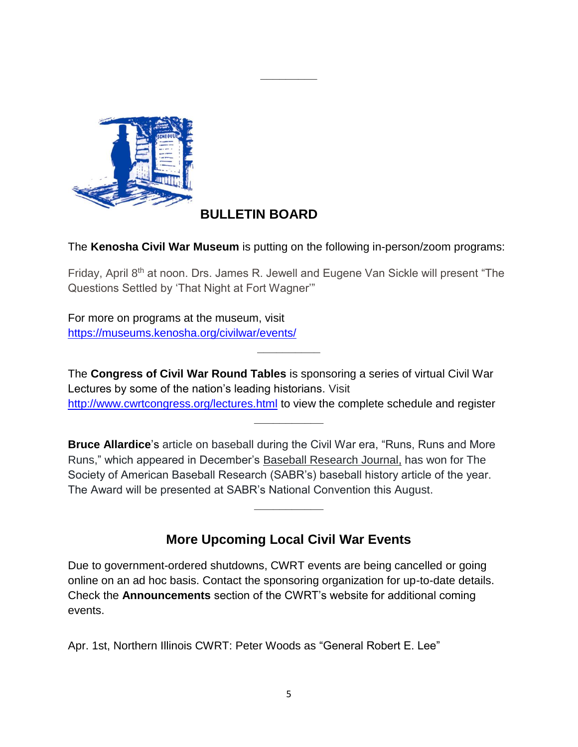

#### **BULLETIN BOARD**

The **Kenosha Civil War Museum** is putting on the following in-person/zoom programs:

**\_\_\_\_\_\_\_\_\_**

Friday, April 8<sup>th</sup> at noon. Drs. James R. Jewell and Eugene Van Sickle will present "The Questions Settled by 'That Night at Fort Wagner'"

For more on programs at the museum, visit <https://museums.kenosha.org/civilwar/events/>

The **Congress of Civil War Round Tables** is sponsoring a series of virtual Civil War Lectures by some of the nation's leading historians. Visit <http://www.cwrtcongress.org/lectures.html> to view the complete schedule and register

**\_\_\_\_\_\_\_\_\_\_\_**

**\_\_\_\_\_\_\_\_\_\_**

**Bruce Allardice**'s article on baseball during the Civil War era, "Runs, Runs and More Runs," which appeared in December's Baseball Research Journal, has won for The Society of American Baseball Research (SABR's) baseball history article of the year. The Award will be presented at SABR's National Convention this August.

#### **More Upcoming Local Civil War Events**

**\_\_\_\_\_\_\_\_\_\_\_**

Due to government-ordered shutdowns, CWRT events are being cancelled or going online on an ad hoc basis. Contact the sponsoring organization for up-to-date details. Check the **Announcements** section of the CWRT's website for additional coming events.

Apr. 1st, Northern Illinois CWRT: Peter Woods as "General Robert E. Lee"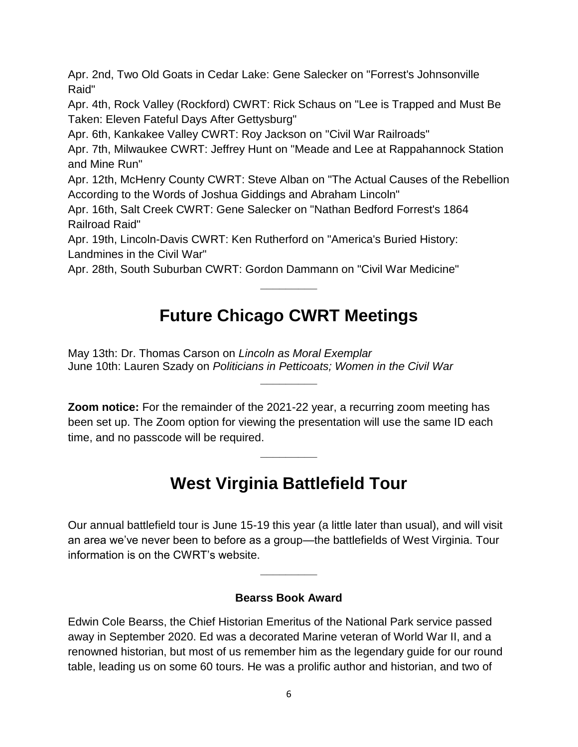Apr. 2nd, Two Old Goats in Cedar Lake: Gene Salecker on "Forrest's Johnsonville Raid"

Apr. 4th, Rock Valley (Rockford) CWRT: Rick Schaus on "Lee is Trapped and Must Be Taken: Eleven Fateful Days After Gettysburg"

Apr. 6th, Kankakee Valley CWRT: Roy Jackson on "Civil War Railroads"

Apr. 7th, Milwaukee CWRT: Jeffrey Hunt on "Meade and Lee at Rappahannock Station and Mine Run"

Apr. 12th, McHenry County CWRT: Steve Alban on "The Actual Causes of the Rebellion According to the Words of Joshua Giddings and Abraham Lincoln"

Apr. 16th, Salt Creek CWRT: Gene Salecker on "Nathan Bedford Forrest's 1864 Railroad Raid"

Apr. 19th, Lincoln-Davis CWRT: Ken Rutherford on "America's Buried History: Landmines in the Civil War"

Apr. 28th, South Suburban CWRT: Gordon Dammann on "Civil War Medicine"

## **Future Chicago CWRT Meetings**

**\_\_\_\_\_\_\_\_\_**

**\_\_\_\_\_\_\_\_\_**

May 13th: Dr. Thomas Carson on *Lincoln as Moral Exemplar* June 10th: Lauren Szady on *Politicians in Petticoats; Women in the Civil War*

**Zoom notice:** For the remainder of the 2021-22 year, a recurring zoom meeting has been set up. The Zoom option for viewing the presentation will use the same ID each time, and no passcode will be required.

## **West Virginia Battlefield Tour**

**\_\_\_\_\_\_\_\_\_**

Our annual battlefield tour is June 15-19 this year (a little later than usual), and will visit an area we've never been to before as a group—the battlefields of West Virginia. Tour information is on the CWRT's website.

#### **Bearss Book Award**

**\_\_\_\_\_\_\_\_\_**

Edwin Cole Bearss, the Chief Historian Emeritus of the National Park service passed away in September 2020. Ed was a decorated Marine veteran of World War II, and a renowned historian, but most of us remember him as the legendary guide for our round table, leading us on some 60 tours. He was a prolific author and historian, and two of